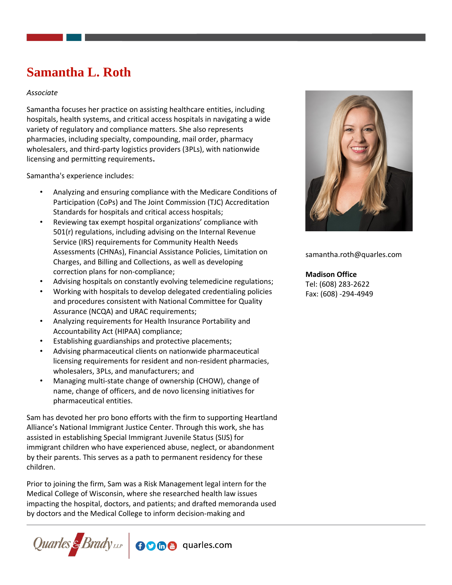# **Samantha L. Roth**

#### *Associate*

Samantha focuses her practice on assisting healthcare entities, including hospitals, health systems, and critical access hospitals in navigating a wide variety of regulatory and compliance matters. She also represents pharmacies, including specialty, compounding, mail order, pharmacy wholesalers, and third-party logistics providers (3PLs), with nationwide licensing and permitting requirements**.** 

Samantha's experience includes:

- Analyzing and ensuring compliance with the Medicare Conditions of Participation (CoPs) and The Joint Commission (TJC) Accreditation Standards for hospitals and critical access hospitals;
- Reviewing tax exempt hospital organizations' compliance with 501(r) regulations, including advising on the Internal Revenue Service (IRS) requirements for Community Health Needs Assessments (CHNAs), Financial Assistance Policies, Limitation on Charges, and Billing and Collections, as well as developing correction plans for non-compliance;
- Advising hospitals on constantly evolving telemedicine regulations;
- Working with hospitals to develop delegated credentialing policies and procedures consistent with National Committee for Quality Assurance (NCQA) and URAC requirements;
- Analyzing requirements for Health Insurance Portability and Accountability Act (HIPAA) compliance;
- Establishing guardianships and protective placements;
- Advising pharmaceutical clients on nationwide pharmaceutical licensing requirements for resident and non-resident pharmacies, wholesalers, 3PLs, and manufacturers; and
- Managing multi-state change of ownership (CHOW), change of name, change of officers, and de novo licensing initiatives for pharmaceutical entities.

Sam has devoted her pro bono efforts with the firm to supporting Heartland Alliance's National Immigrant Justice Center. Through this work, she has assisted in establishing Special Immigrant Juvenile Status (SIJS) for immigrant children who have experienced abuse, neglect, or abandonment by their parents. This serves as a path to permanent residency for these children.

Prior to joining the firm, Sam was a Risk Management legal intern for the Medical College of Wisconsin, where she researched health law issues impacting the hospital, doctors, and patients; and drafted memoranda used by doctors and the Medical College to inform decision-making and





samantha.roth@quarles.com

#### **Madison Office**

Tel: (608) 283-2622 Fax: (608) -294-4949